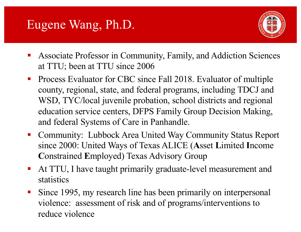# Eugene Wang, Ph.D.



- Associate Professor in Community, Family, and Addiction Sciences at TTU; been at TTU since 2006
- Process Evaluator for CBC since Fall 2018. Evaluator of multiple county, regional, state, and federal programs, including TDCJ and WSD, TYC/local juvenile probation, school districts and regional education service centers, DFPS Family Group Decision Making, and federal Systems of Care in Panhandle.
- Community: Lubbock Area United Way Community Status Report since 2000: United Ways of Texas ALICE (**A**sset **L**imited **I**ncome **C**onstrained **E**mployed) Texas Advisory Group
- At TTU, I have taught primarily graduate-level measurement and statistics
- Since 1995, my research line has been primarily on interpersonal violence: assessment of risk and of programs/interventions to reduce violence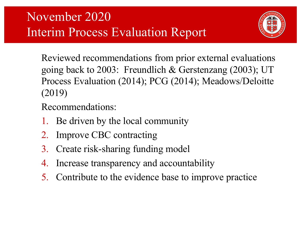

Reviewed recommendations from prior external evaluations going back to 2003: Freundlich & Gerstenzang (2003); UT Process Evaluation (2014); PCG (2014); Meadows/Deloitte (2019)

#### Recommendations:

- 1. Be driven by the local community
- 2. Improve CBC contracting
- 3. Create risk-sharing funding model
- 4. Increase transparency and accountability
- 5. Contribute to the evidence base to improve practice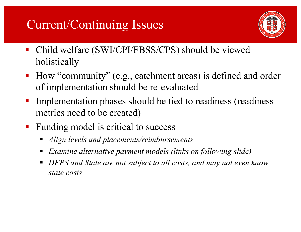## Current/Continuing Issues



- § Child welfare (SWI/CPI/FBSS/CPS) should be viewed holistically
- How "community" (e.g., catchment areas) is defined and order of implementation should be re-evaluated
- Implementation phases should be tied to readiness (readiness metrics need to be created)
- Funding model is critical to success
	- § *Align levels and placements/reimbursements*
	- § *Examine alternative payment models (links on following slide)*
	- § *DFPS and State are not subject to all costs, and may not even know state costs*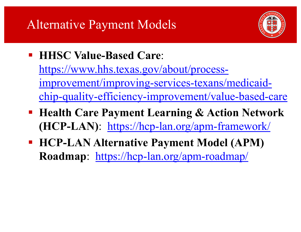# Alternative Payment Models



- § **HHSC Value-Based Care**: https://www.hhs.texas.gov/about/processimprovement/improving-services-texans/medicaid[chip-quality-efficiency-improvement/value-based-care](https://www.hhs.texas.gov/about/process-improvement/improving-services-texans/medicaid-chip-quality-efficiency-improvement/value-based-care)
- § **Health Care Payment Learning & Action Network (HCP-LAN)**: [https://hcp-lan.org/apm-framework](https://hcp-lan.org/apm-framework/)/
- § **HCP-LAN Alternative Payment Model (APM) Roadmap**: [https://hcp-lan.org/apm-roadmap](https://hcp-lan.org/apm-roadmap/)/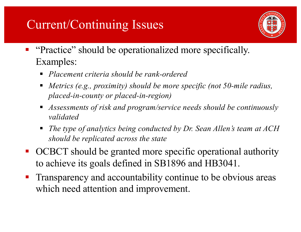## Current/Continuing Issues



- § "Practice" should be operationalized more specifically. Examples:
	- § *Placement criteria should be rank-ordered*
	- § *Metrics (e.g., proximity) should be more specific (not 50-mile radius, placed-in-county or placed-in-region)*
	- § *Assessments of risk and program/service needs should be continuously validated*
	- § *The type of analytics being conducted by Dr. Sean Allen's team at ACH should be replicated across the state*
- OCBCT should be granted more specific operational authority to achieve its goals defined in SB1896 and HB3041.
- **Transparency and accountability continue to be obvious areas** which need attention and improvement.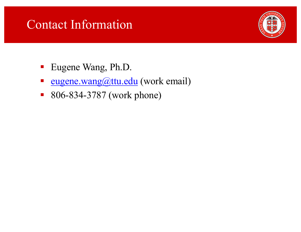### Contact Information



- Eugene Wang, Ph.D.
- [eugene.wang@ttu.edu](mailto:eugene.wang@ttu.edu) (work email)
- 806-834-3787 (work phone)